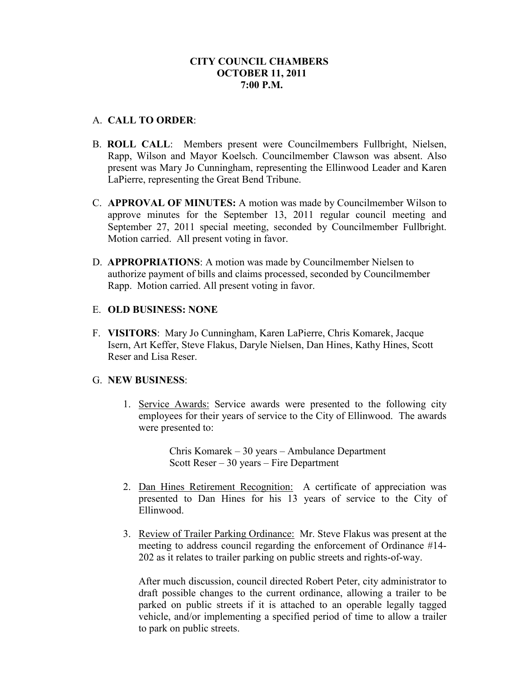## **CITY COUNCIL CHAMBERS OCTOBER 11, 2011 7:00 P.M.**

## A. **CALL TO ORDER**:

- B. **ROLL CALL**: Members present were Councilmembers Fullbright, Nielsen, Rapp, Wilson and Mayor Koelsch. Councilmember Clawson was absent. Also present was Mary Jo Cunningham, representing the Ellinwood Leader and Karen LaPierre, representing the Great Bend Tribune.
- C. **APPROVAL OF MINUTES:** A motion was made by Councilmember Wilson to approve minutes for the September 13, 2011 regular council meeting and September 27, 2011 special meeting, seconded by Councilmember Fullbright. Motion carried. All present voting in favor.
- D. **APPROPRIATIONS**: A motion was made by Councilmember Nielsen to authorize payment of bills and claims processed, seconded by Councilmember Rapp. Motion carried. All present voting in favor.

### E. **OLD BUSINESS: NONE**

F. **VISITORS**: Mary Jo Cunningham, Karen LaPierre, Chris Komarek, Jacque Isern, Art Keffer, Steve Flakus, Daryle Nielsen, Dan Hines, Kathy Hines, Scott Reser and Lisa Reser.

#### G. **NEW BUSINESS**:

1. Service Awards: Service awards were presented to the following city employees for their years of service to the City of Ellinwood. The awards were presented to:

> Chris Komarek – 30 years – Ambulance Department Scott Reser – 30 years – Fire Department

- 2. Dan Hines Retirement Recognition: A certificate of appreciation was presented to Dan Hines for his 13 years of service to the City of Ellinwood.
- 3. Review of Trailer Parking Ordinance: Mr. Steve Flakus was present at the meeting to address council regarding the enforcement of Ordinance #14- 202 as it relates to trailer parking on public streets and rights-of-way.

After much discussion, council directed Robert Peter, city administrator to draft possible changes to the current ordinance, allowing a trailer to be parked on public streets if it is attached to an operable legally tagged vehicle, and/or implementing a specified period of time to allow a trailer to park on public streets.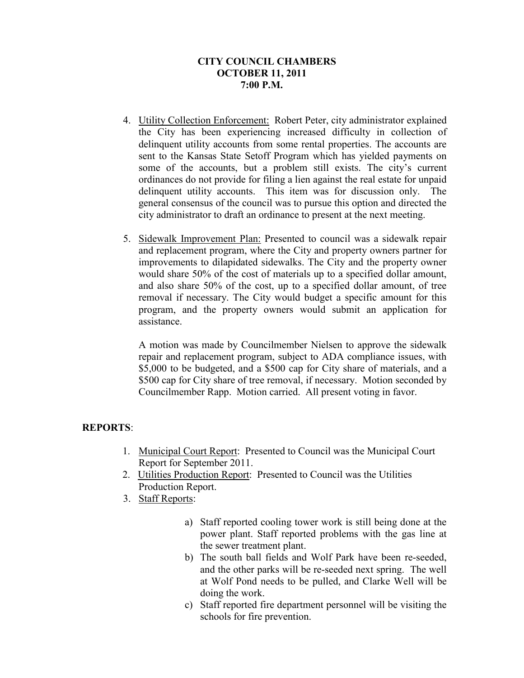## **CITY COUNCIL CHAMBERS OCTOBER 11, 2011 7:00 P.M.**

- 4. Utility Collection Enforcement: Robert Peter, city administrator explained the City has been experiencing increased difficulty in collection of delinquent utility accounts from some rental properties. The accounts are sent to the Kansas State Setoff Program which has yielded payments on some of the accounts, but a problem still exists. The city's current ordinances do not provide for filing a lien against the real estate for unpaid delinquent utility accounts. This item was for discussion only. The general consensus of the council was to pursue this option and directed the city administrator to draft an ordinance to present at the next meeting.
- 5. Sidewalk Improvement Plan: Presented to council was a sidewalk repair and replacement program, where the City and property owners partner for improvements to dilapidated sidewalks. The City and the property owner would share 50% of the cost of materials up to a specified dollar amount, and also share 50% of the cost, up to a specified dollar amount, of tree removal if necessary. The City would budget a specific amount for this program, and the property owners would submit an application for assistance.

A motion was made by Councilmember Nielsen to approve the sidewalk repair and replacement program, subject to ADA compliance issues, with \$5,000 to be budgeted, and a \$500 cap for City share of materials, and a \$500 cap for City share of tree removal, if necessary. Motion seconded by Councilmember Rapp. Motion carried. All present voting in favor.

# **REPORTS**:

- 1. Municipal Court Report: Presented to Council was the Municipal Court Report for September 2011.
- 2. Utilities Production Report: Presented to Council was the Utilities Production Report.
- 3. Staff Reports:
	- a) Staff reported cooling tower work is still being done at the power plant. Staff reported problems with the gas line at the sewer treatment plant.
	- b) The south ball fields and Wolf Park have been re-seeded, and the other parks will be re-seeded next spring. The well at Wolf Pond needs to be pulled, and Clarke Well will be doing the work.
	- c) Staff reported fire department personnel will be visiting the schools for fire prevention.